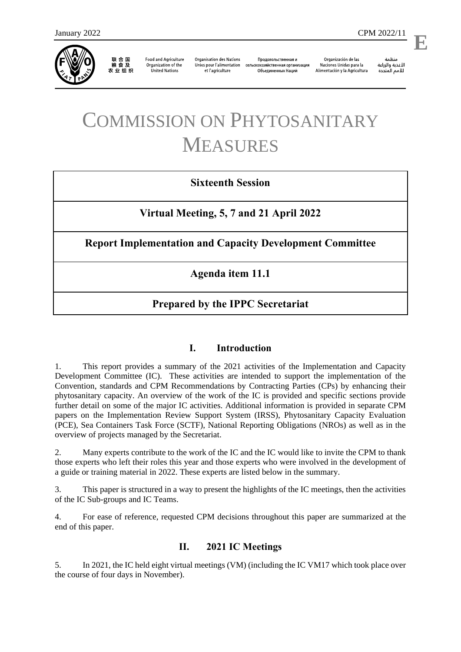

联 合 国<br>粮 食 及 农业组织

**Food and Agriculture** Organization of the **United Nations** 

**Organisation des Nations** Unies pour l'alimentation et l'agriculture

Продовольственная и сельскохозяйственная организация Объелиненных Наций

Organización de las Naciones Unidas para la Alimentación y la Agricultura

منظمة الأغذية والزراعة للأمم المتحدة

l,

# COMMISSION ON PHYTOSANITARY MEASURES

# **Sixteenth Session**

**Virtual Meeting, 5, 7 and 21 April 2022**

**Report Implementation and Capacity Development Committee** 

**Agenda item 11.1**

# **Prepared by the IPPC Secretariat**

# **I. Introduction**

1. This report provides a summary of the 2021 activities of the Implementation and Capacity Development Committee (IC). These activities are intended to support the implementation of the Convention, standards and CPM Recommendations by Contracting Parties (CPs) by enhancing their phytosanitary capacity. An overview of the work of the IC is provided and specific sections provide further detail on some of the major IC activities. Additional information is provided in separate CPM papers on the Implementation Review Support System (IRSS), Phytosanitary Capacity Evaluation (PCE), Sea Containers Task Force (SCTF), National Reporting Obligations (NROs) as well as in the overview of projects managed by the Secretariat.

2. Many experts contribute to the work of the IC and the IC would like to invite the CPM to thank those experts who left their roles this year and those experts who were involved in the development of a guide or training material in 2022. These experts are listed below in the summary.

3. This paper is structured in a way to present the highlights of the IC meetings, then the activities of the IC Sub-groups and IC Teams.

4. For ease of reference, requested CPM decisions throughout this paper are summarized at the end of this paper.

# **II. 2021 IC Meetings**

5. In 2021, the IC held eight virtual meetings (VM) (including the IC VM17 which took place over the course of four days in November).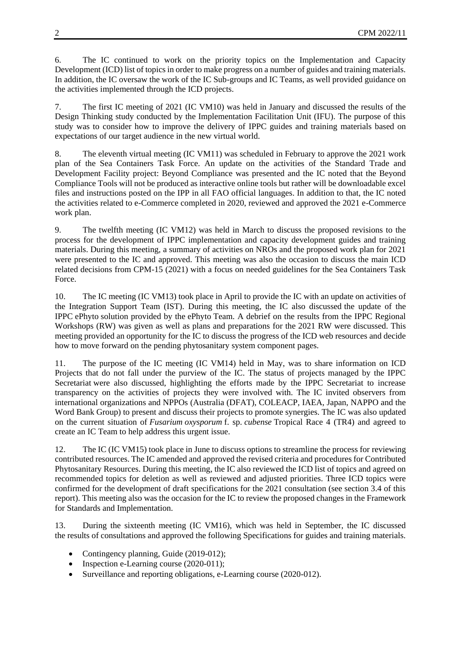6. The IC continued to work on the priority topics on the Implementation and Capacity Development (ICD) list of topics in order to make progress on a number of guides and training materials. In addition, the IC oversaw the work of the IC Sub-groups and IC Teams, as well provided guidance on the activities implemented through the ICD projects.

7. The first IC meeting of 2021 (IC VM10) was held in January and discussed the results of the Design Thinking study conducted by the Implementation Facilitation Unit (IFU). The purpose of this study was to consider how to improve the delivery of IPPC guides and training materials based on expectations of our target audience in the new virtual world.

8. The eleventh virtual meeting (IC VM11) was scheduled in February to approve the 2021 work plan of the Sea Containers Task Force. An update on the activities of the Standard Trade and Development Facility project: Beyond Compliance was presented and the IC noted that the Beyond Compliance Tools will not be produced as interactive online tools but rather will be downloadable excel files and instructions posted on the IPP in all FAO official languages. In addition to that, the IC noted the activities related to e-Commerce completed in 2020, reviewed and approved the 2021 e-Commerce work plan.

9. The twelfth meeting (IC VM12) was held in March to discuss the proposed revisions to the process for the development of IPPC implementation and capacity development guides and training materials. During this meeting, a summary of activities on NROs and the proposed work plan for 2021 were presented to the IC and approved. This meeting was also the occasion to discuss the main ICD related decisions from CPM-15 (2021) with a focus on needed guidelines for the Sea Containers Task Force.

10. The IC meeting (IC VM13) took place in April to provide the IC with an update on activities of the Integration Support Team (IST). During this meeting, the IC also discussed the update of the IPPC ePhyto solution provided by the ePhyto Team. A debrief on the results from the IPPC Regional Workshops (RW) was given as well as plans and preparations for the 2021 RW were discussed. This meeting provided an opportunity for the IC to discuss the progress of the ICD web resources and decide how to move forward on the pending phytosanitary system component pages.

11. The purpose of the IC meeting (IC VM14) held in May, was to share information on ICD Projects that do not fall under the purview of the IC. The status of projects managed by the IPPC Secretariat were also discussed, highlighting the efforts made by the IPPC Secretariat to increase transparency on the activities of projects they were involved with. The IC invited observers from international organizations and NPPOs (Australia (DFAT), COLEACP, IAEA, Japan, NAPPO and the Word Bank Group) to present and discuss their projects to promote synergies. The IC was also updated on the current situation of *Fusarium oxysporum* f. sp. *cubense* Tropical Race 4 (TR4) and agreed to create an IC Team to help address this urgent issue.

12. The IC (IC VM15) took place in June to discuss options to streamline the process for reviewing contributed resources. The IC amended and approved the revised criteria and procedures for Contributed Phytosanitary Resources. During this meeting, the IC also reviewed the ICD list of topics and agreed on recommended topics for deletion as well as reviewed and adjusted priorities. Three ICD topics were confirmed for the development of draft specifications for the 2021 consultation (see section 3.4 of this report). This meeting also was the occasion for the IC to review the proposed changes in the Framework for Standards and Implementation.

13. During the sixteenth meeting (IC VM16), which was held in September, the IC discussed the results of consultations and approved the following Specifications for guides and training materials.

- Contingency planning, Guide (2019-012);
- Inspection e-Learning course  $(2020-011)$ ;
- Surveillance and reporting obligations, e-Learning course (2020-012).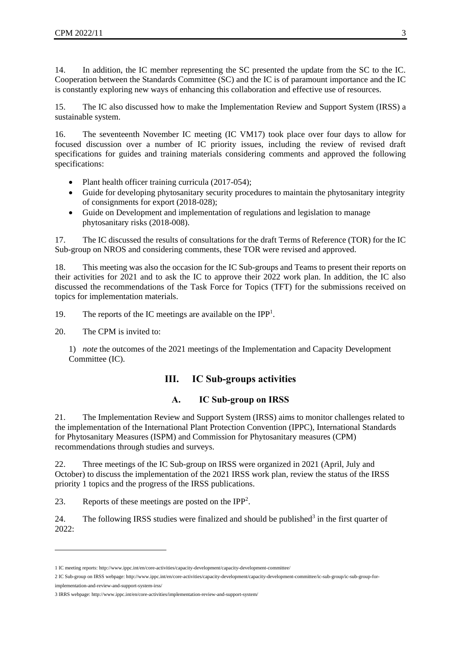14. In addition, the IC member representing the SC presented the update from the SC to the IC. Cooperation between the Standards Committee (SC) and the IC is of paramount importance and the IC is constantly exploring new ways of enhancing this collaboration and effective use of resources.

15. The IC also discussed how to make the Implementation Review and Support System (IRSS) a sustainable system.

16. The seventeenth November IC meeting (IC VM17) took place over four days to allow for focused discussion over a number of IC priority issues, including the review of revised draft specifications for guides and training materials considering comments and approved the following specifications:

- Plant health officer training curricula (2017-054);
- Guide for developing phytosanitary security procedures to maintain the phytosanitary integrity of consignments for export (2018-028);
- Guide on Development and implementation of regulations and legislation to manage phytosanitary risks (2018-008).

17. The IC discussed the results of consultations for the draft Terms of Reference (TOR) for the IC Sub-group on NROS and considering comments, these TOR were revised and approved.

18. This meeting was also the occasion for the IC Sub-groups and Teams to present their reports on their activities for 2021 and to ask the IC to approve their 2022 work plan. In addition, the IC also discussed the recommendations of the Task Force for Topics (TFT) for the submissions received on topics for implementation materials.

19. The reports of the IC meetings are available on the IPP<sup>1</sup>.

20. The CPM is invited to:

1) *note* the outcomes of the 2021 meetings of the Implementation and Capacity Development Committee (IC).

#### **III. IC Sub-groups activities**

#### **A. IC Sub-group on IRSS**

21. The Implementation Review and Support System (IRSS) aims to monitor challenges related to the implementation of the International Plant Protection Convention (IPPC), International Standards for Phytosanitary Measures (ISPM) and Commission for Phytosanitary measures (CPM) recommendations through studies and surveys.

22. Three meetings of the IC Sub-group on IRSS were organized in 2021 (April, July and October) to discuss the implementation of the 2021 IRSS work plan, review the status of the IRSS priority 1 topics and the progress of the IRSS publications.

23. Reports of these meetings are posted on the  $IPP<sup>2</sup>$ .

24. The following IRSS studies were finalized and should be published<sup>3</sup> in the first quarter of 2022:

1

<sup>1</sup> IC meeting reports[: http://www.ippc.int/en/core-activities/capacity-development/capacity-development-committee/](https://www.ippc.int/en/core-activities/capacity-development/capacity-development-committee/)

<sup>2</sup> IC Sub-group on IRSS webpage[: http://www.ippc.int/en/core-activities/capacity-development/capacity-development-committee/ic-sub-group/ic-sub-group-for-](https://www.ippc.int/en/core-activities/capacity-development/capacity-development-committee/ic-sub-group/ic-sub-group-for-implementation-and-review-and-support-system-irss/)

[implementation-and-review-and-support-system-irss/](https://www.ippc.int/en/core-activities/capacity-development/capacity-development-committee/ic-sub-group/ic-sub-group-for-implementation-and-review-and-support-system-irss/)

<sup>3</sup> IRRS webpage[: http://www.ippc.int/en/core-activities/implementation-review-and-support-system/](http://www.ippc.int/en/core-activities/implementation-review-and-support-system/)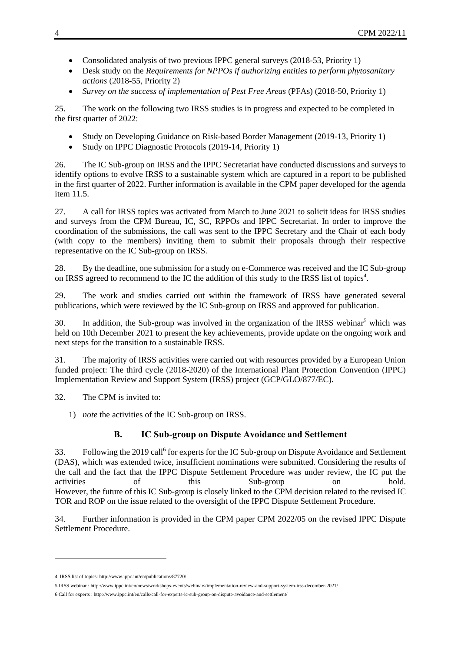- Consolidated analysis of two previous IPPC general surveys (2018-53, Priority 1)
- Desk study on the *Requirements for NPPOs if authorizing entities to perform phytosanitary actions* (2018-55, Priority 2)
- *Survey on the success of implementation of Pest Free Areas* (PFAs) (2018-50, Priority 1)

25. The work on the following two IRSS studies is in progress and expected to be completed in the first quarter of 2022:

- Study on Developing Guidance on Risk-based Border Management (2019-13, Priority 1)
- Study on IPPC Diagnostic Protocols (2019-14, Priority 1)

26. The IC Sub-group on IRSS and the IPPC Secretariat have conducted discussions and surveys to identify options to evolve IRSS to a sustainable system which are captured in a report to be published in the first quarter of 2022. Further information is available in the CPM paper developed for the agenda item 11.5.

27. A call for IRSS topics was activated from March to June 2021 to solicit ideas for IRSS studies and surveys from the CPM Bureau, IC, SC, RPPOs and IPPC Secretariat. In order to improve the coordination of the submissions, the call was sent to the IPPC Secretary and the Chair of each body (with copy to the members) inviting them to submit their proposals through their respective representative on the IC Sub-group on IRSS.

28. By the deadline, one submission for a study on e-Commerce was received and the IC Sub-group on IRSS agreed to recommend to the IC the addition of this study to the IRSS list of topics<sup>4</sup>.

29. The work and studies carried out within the framework of IRSS have generated several publications, which were reviewed by the IC Sub-group on IRSS and approved for publication.

30. In addition, the Sub-group was involved in the organization of the IRSS webinar<sup>5</sup> which was held on 10th December 2021 to present the key achievements, provide update on the ongoing work and next steps for the transition to a sustainable IRSS.

31. The majority of IRSS activities were carried out with resources provided by a European Union funded project: The third cycle (2018-2020) of the International Plant Protection Convention (IPPC) Implementation Review and Support System (IRSS) project (GCP/GLO/877/EC).

- 32. The CPM is invited to:
	- 1) *note* the activities of the IC Sub-group on IRSS.

## **B. IC Sub-group on Dispute Avoidance and Settlement**

33. Following the 2019 call<sup>6</sup> for experts for the IC Sub-group on Dispute Avoidance and Settlement (DAS), which was extended twice, insufficient nominations were submitted. Considering the results of the call and the fact that the IPPC Dispute Settlement Procedure was under review, the IC put the activities of this Sub-group on hold. However, the future of this IC Sub-group is closely linked to the CPM decision related to the revised IC TOR and ROP on the issue related to the oversight of the IPPC Dispute Settlement Procedure.

34. Further information is provided in the CPM paper CPM 2022/05 on the revised IPPC Dispute Settlement Procedure.

1

<sup>4</sup> IRSS list of topics[: http://www.ippc.int/en/publications/87720/](https://www.ippc.int/en/publications/87720/)

<sup>5</sup> IRSS webinar [: http://www.ippc.int/en/news/workshops-events/webinars/implementation-review-and-support-system-irss-december-2021/](https://www.ippc.int/en/news/workshops-events/webinars/implementation-review-and-support-system-irss-december-2021/)

<sup>6</sup> Call for experts [: http://www.ippc.int/en/calls/call-for-experts-ic-sub-group-on-dispute-avoidance-and-settlement/](https://www.ippc.int/en/calls/call-for-experts-ic-sub-group-on-dispute-avoidance-and-settlement/)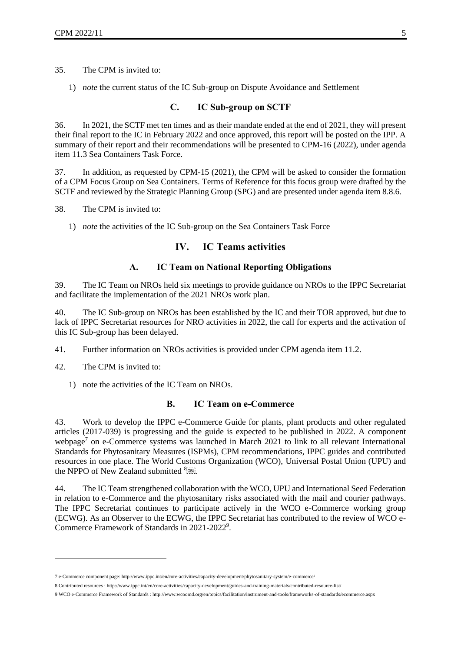35. The CPM is invited to:

1) *note* the current status of the IC Sub-group on Dispute Avoidance and Settlement

## **C. IC Sub-group on SCTF**

36. In 2021, the SCTF met ten times and as their mandate ended at the end of 2021, they will present their final report to the IC in February 2022 and once approved, this report will be posted on the IPP. A summary of their report and their recommendations will be presented to CPM-16 (2022), under agenda item 11.3 Sea Containers Task Force.

37. In addition, as requested by CPM-15 (2021), the CPM will be asked to consider the formation of a CPM Focus Group on Sea Containers. Terms of Reference for this focus group were drafted by the SCTF and reviewed by the Strategic Planning Group (SPG) and are presented under agenda item 8.8.6.

38. The CPM is invited to:

1) *note* the activities of the IC Sub-group on the Sea Containers Task Force

## **IV. IC Teams activities**

## **A. IC Team on National Reporting Obligations**

39. The IC Team on NROs held six meetings to provide guidance on NROs to the IPPC Secretariat and facilitate the implementation of the 2021 NROs work plan.

40. The IC Sub-group on NROs has been established by the IC and their TOR approved, but due to lack of IPPC Secretariat resources for NRO activities in 2022, the call for experts and the activation of this IC Sub-group has been delayed.

41. Further information on NROs activities is provided under CPM agenda item 11.2.

42. The CPM is invited to:

1

1) note the activities of the IC Team on NROs.

#### **B. IC Team on e-Commerce**

43. Work to develop the IPPC e-Commerce Guide for plants, plant products and other regulated articles (2017-039) is progressing and the guide is expected to be published in 2022. A component webpage<sup>7</sup> on e-Commerce systems was launched in March 2021 to link to all relevant International Standards for Phytosanitary Measures (ISPMs), CPM recommendations, IPPC guides and contributed resources in one place. The World Customs Organization (WCO), Universal Postal Union (UPU) and the NPPO of New Zealand submitted  $8.08\%$ .

44. The IC Team strengthened collaboration with the WCO, UPU and International Seed Federation in relation to e-Commerce and the phytosanitary risks associated with the mail and courier pathways. The IPPC Secretariat continues to participate actively in the WCO e-Commerce working group (ECWG). As an Observer to the ECWG, the IPPC Secretariat has contributed to the review of WCO e-Commerce Framework of Standards in 2021-2022<sup>9</sup>.

<sup>7</sup> e-Commerce component page[: http://www.ippc.int/en/core-activities/capacity-development/phytosanitary-system/e-commerce/](https://www.ippc.int/en/core-activities/capacity-development/phytosanitary-system/e-commerce/)

<sup>8</sup> Contributed resources [: http://www.ippc.int/en/core-activities/capacity-development/guides-and-training-materials/contributed-resource-list/](https://www.ippc.int/en/core-activities/capacity-development/guides-and-training-materials/contributed-resource-list/)

<sup>9</sup> WCO e-Commerce Framework of Standards [: http://www.wcoomd.org/en/topics/facilitation/instrument-and-tools/frameworks-of-standards/ecommerce.aspx](http://www.wcoomd.org/en/topics/facilitation/instrument-and-tools/frameworks-of-standards/ecommerce.aspx)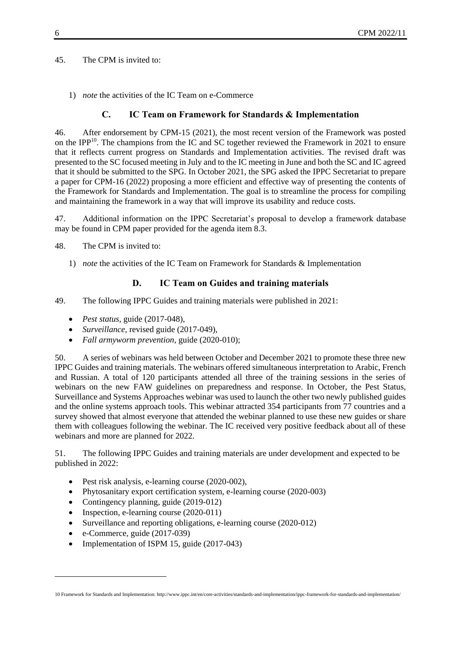45. The CPM is invited to:

1) *note* the activities of the IC Team on e-Commerce

## **C. IC Team on Framework for Standards & Implementation**

46. After endorsement by CPM-15 (2021), the most recent version of the Framework was posted on the IPP<sup>10</sup>. The champions from the IC and SC together reviewed the Framework in 2021 to ensure that it reflects current progress on Standards and Implementation activities. The revised draft was presented to the SC focused meeting in July and to the IC meeting in June and both the SC and IC agreed that it should be submitted to the SPG. In October 2021, the SPG asked the IPPC Secretariat to prepare a paper for CPM-16 (2022) proposing a more efficient and effective way of presenting the contents of the Framework for Standards and Implementation. The goal is to streamline the process for compiling and maintaining the framework in a way that will improve its usability and reduce costs.

47. Additional information on the IPPC Secretariat's proposal to develop a framework database may be found in CPM paper provided for the agenda item 8.3.

48. The CPM is invited to:

1) *note* the activities of the IC Team on Framework for Standards & Implementation

## **D. IC Team on Guides and training materials**

49. The following IPPC Guides and training materials were published in 2021:

- *Pest status*, guide (2017-048),
- *Surveillance*, revised guide (2017-049),
- *Fall armyworm prevention*, guide (2020-010);

50. A series of webinars was held between October and December 2021 to promote these three new IPPC Guides and training materials. The webinars offered simultaneous interpretation to Arabic, French and Russian. A total of 120 participants attended all three of the training sessions in the series of webinars on the new FAW guidelines on preparedness and response. In October, the Pest Status, Surveillance and Systems Approaches webinar was used to launch the other two newly published guides and the online systems approach tools. This webinar attracted 354 participants from 77 countries and a survey showed that almost everyone that attended the webinar planned to use these new guides or share them with colleagues following the webinar. The IC received very positive feedback about all of these webinars and more are planned for 2022.

51. The following IPPC Guides and training materials are under development and expected to be published in 2022:

- Pest risk analysis, e-learning course (2020-002),
- Phytosanitary export certification system, e-learning course (2020-003)
- Contingency planning, guide (2019-012)
- Inspection, e-learning course  $(2020-011)$
- Surveillance and reporting obligations, e-learning course (2020-012)
- e-Commerce, guide (2017-039)

1

• Implementation of ISPM 15, guide (2017-043)

<sup>10</sup> Framework for Standards and Implementation[: http://www.ippc.int/en/core-activities/standards-and-implementation/ippc-framework-for-standards-and-implementation/](http://www.ippc.int/en/core-activities/standards-and-implementation/ippc-framework-for-standards-and-implementation/)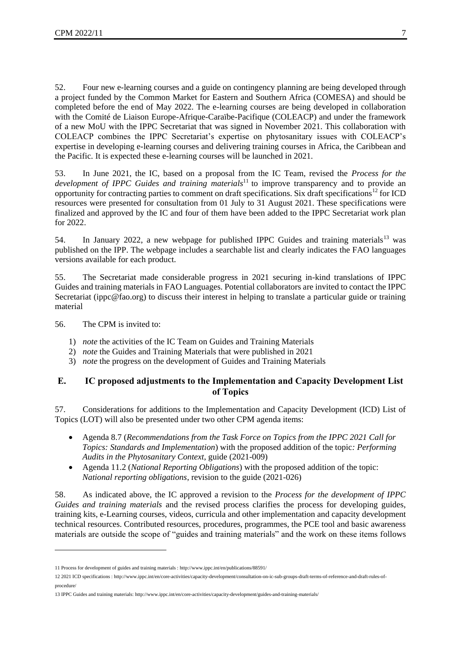52. Four new e-learning courses and a guide on contingency planning are being developed through a project funded by the Common Market for Eastern and Southern Africa (COMESA) and should be completed before the end of May 2022. The e-learning courses are being developed in collaboration with the Comité de Liaison Europe-Afrique-Caraïbe-Pacifique (COLEACP) and under the framework of a new MoU with the IPPC Secretariat that was signed in November 2021. This collaboration with COLEACP combines the IPPC Secretariat's expertise on phytosanitary issues with COLEACP's expertise in developing e-learning courses and delivering training courses in Africa, the Caribbean and the Pacific. It is expected these e-learning courses will be launched in 2021.

53. In June 2021, the IC, based on a proposal from the IC Team, revised the *Process for the development of IPPC Guides and training materials*<sup>11</sup> to improve transparency and to provide an opportunity for contracting parties to comment on draft specifications. Six draft specifications<sup>12</sup> for ICD resources were presented for consultation from 01 July to 31 August 2021. These specifications were finalized and approved by the IC and four of them have been added to the IPPC Secretariat work plan for 2022.

54. In January 2022, a new webpage for published IPPC Guides and training materials<sup>13</sup> was published on the IPP. The webpage includes a searchable list and clearly indicates the FAO languages versions available for each product.

55. The Secretariat made considerable progress in 2021 securing in-kind translations of IPPC Guides and training materials in FAO Languages. Potential collaborators are invited to contact the IPPC Secretariat [\(ippc@fao.org\)](mailto:ippc@fao.org) to discuss their interest in helping to translate a particular guide or training material

56. The CPM is invited to:

1

- 1) *note* the activities of the IC Team on Guides and Training Materials
- 2) *note* the Guides and Training Materials that were published in 2021
- 3) *note* the progress on the development of Guides and Training Materials

## **E. IC proposed adjustments to the Implementation and Capacity Development List of Topics**

57. Considerations for additions to the Implementation and Capacity Development (ICD) List of Topics (LOT) will also be presented under two other CPM agenda items:

- Agenda 8.7 (*Recommendations from the Task Force on Topics from the IPPC 2021 Call for Topics: Standards and Implementation*) with the proposed addition of the topic*: Performing Audits in the Phytosanitary Context*, guide (2021-009)
- Agenda 11.2 (*National Reporting Obligations*) with the proposed addition of the topic: *National reporting obligations*, revision to the guide (2021-026)

58. As indicated above, the IC approved a revision to the *Process for the development of IPPC Guides and training materials* and the revised process clarifies the process for developing guides, training kits, e-Learning courses, videos, curricula and other implementation and capacity development technical resources. Contributed resources, procedures, programmes, the PCE tool and basic awareness materials are outside the scope of "guides and training materials" and the work on these items follows

<sup>11</sup> Process for development of guides and training materials [: http://www.ippc.int/en/publications/88591/](https://www.ippc.int/en/publications/88591/)

<sup>12</sup> 2021 ICD specifications [: http://www.ippc.int/en/core-activities/capacity-development/consultation-on-ic-sub-groups-draft-terms-of-reference-and-draft-rules-of](https://www.ippc.int/en/core-activities/capacity-development/consultation-on-ic-sub-groups-draft-terms-of-reference-and-draft-rules-of-procedure/)[procedure/](https://www.ippc.int/en/core-activities/capacity-development/consultation-on-ic-sub-groups-draft-terms-of-reference-and-draft-rules-of-procedure/)

<sup>13</sup> IPPC Guides and training materials[: http://www.ippc.int/en/core-activities/capacity-development/guides-and-training-materials/](https://www.ippc.int/en/core-activities/capacity-development/guides-and-training-materials/)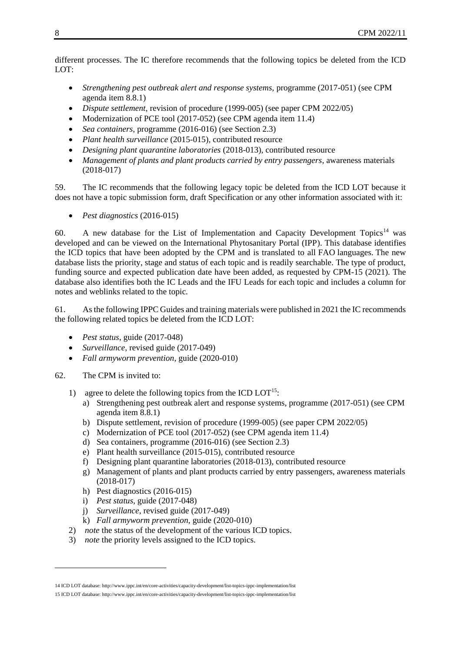different processes. The IC therefore recommends that the following topics be deleted from the ICD LOT:

- *Strengthening pest outbreak alert and response systems,* programme (2017-051) (see CPM agenda item 8.8.1)
- *Dispute settlement*, revision of procedure (1999-005) (see paper CPM 2022/05)
- Modernization of PCE tool (2017-052) (see CPM agenda item 11.4)
- *Sea containers*, programme (2016-016) (see Section 2.3)
- *Plant health surveillance* (2015-015), contributed resource
- *Designing plant quarantine laboratories* (2018-013), contributed resource
- *Management of plants and plant products carried by entry passengers*, awareness materials (2018-017)

59. The IC recommends that the following legacy topic be deleted from the ICD LOT because it does not have a topic submission form, draft Specification or any other information associated with it:

*Pest diagnostics* (2016-015)

60. A new database for the List of Implementation and Capacity Development Topics<sup>14</sup> was developed and can be viewed on the International Phytosanitary Portal (IPP). This database identifies the ICD topics that have been adopted by the CPM and is translated to all FAO languages. The new database lists the priority, stage and status of each topic and is readily searchable. The type of product, funding source and expected publication date have been added, as requested by CPM-15 (2021). The database also identifies both the IC Leads and the IFU Leads for each topic and includes a column for notes and weblinks related to the topic.

61. As the following IPPC Guides and training materials were published in 2021 the IC recommends the following related topics be deleted from the ICD LOT:

- *Pest status*, guide (2017-048)
- *Surveillance*, revised guide (2017-049)
- *Fall armyworm prevention*, guide (2020-010)

#### 62. The CPM is invited to:

-

- 1) agree to delete the following topics from the ICD  $LOT<sup>15</sup>$ :
	- a) Strengthening pest outbreak alert and response systems, programme (2017-051) (see CPM agenda item 8.8.1)
	- b) Dispute settlement, revision of procedure (1999-005) (see paper CPM 2022/05)
	- c) Modernization of PCE tool (2017-052) (see CPM agenda item 11.4)
	- d) Sea containers, programme (2016-016) (see Section 2.3)
	- e) Plant health surveillance (2015-015), contributed resource
	- f) Designing plant quarantine laboratories (2018-013), contributed resource
	- g) Management of plants and plant products carried by entry passengers, awareness materials (2018-017)
	- h) Pest diagnostics (2016-015)
	- i) *Pest status*, guide (2017-048)
	- j) *Surveillance*, revised guide (2017-049)
	- k) *Fall armyworm prevention*, guide (2020-010)
- 2) *note* the status of the development of the various ICD topics.
- 3) *note* the priority levels assigned to the ICD topics.

<sup>14</sup> ICD LOT database[: http://www.ippc.int/en/core-activities/capacity-development/list-topics-ippc-implementation/list](https://www.ippc.int/en/core-activities/capacity-development/list-topics-ippc-implementation/list)

<sup>15</sup> ICD LOT database[: http://www.ippc.int/en/core-activities/capacity-development/list-topics-ippc-implementation/list](https://www.ippc.int/en/core-activities/capacity-development/list-topics-ippc-implementation/list)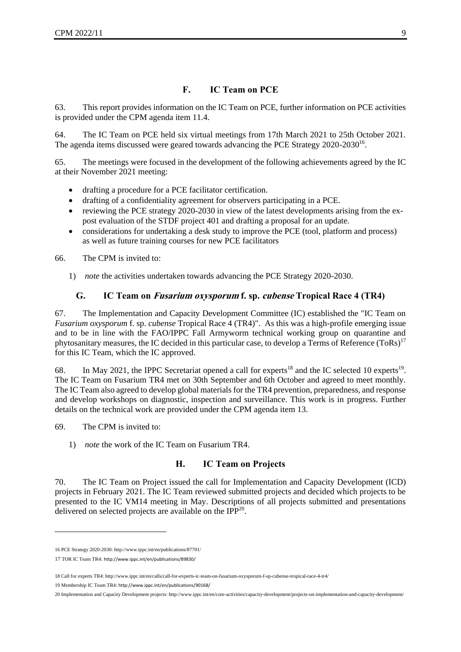## **F. IC Team on PCE**

63. This report provides information on the IC Team on PCE, further information on PCE activities is provided under the CPM agenda item 11.4.

64. The IC Team on PCE held six virtual meetings from 17th March 2021 to 25th October 2021. The agenda items discussed were geared towards advancing the PCE Strategy 2020-2030<sup>16</sup>.

65. The meetings were focused in the development of the following achievements agreed by the IC at their November 2021 meeting:

- drafting a procedure for a PCE facilitator certification.
- drafting of a confidentiality agreement for observers participating in a PCE.
- reviewing the PCE strategy 2020-2030 in view of the latest developments arising from the expost evaluation of the STDF project 401 and drafting a proposal for an update.
- considerations for undertaking a desk study to improve the PCE (tool, platform and process) as well as future training courses for new PCE facilitators

66. The CPM is invited to:

1) *note* the activities undertaken towards advancing the PCE Strategy 2020-2030.

#### **G. IC Team on Fusarium oxysporum f. sp. cubense Tropical Race 4 (TR4)**

67. The Implementation and Capacity Development Committee (IC) established the "IC Team on *Fusarium oxysporum* f. sp. *cubense* Tropical Race 4 (TR4)". As this was a high-profile emerging issue and to be in line with the FAO/IPPC Fall Armyworm technical working group on quarantine and phytosanitary measures, the IC decided in this particular case, to develop a Terms of Reference (ToRs)<sup>17</sup> for this IC Team, which the IC approved.

68. In May 2021, the IPPC Secretariat opened a call for experts<sup>18</sup> and the IC selected 10 experts<sup>19</sup>. The IC Team on Fusarium TR4 met on 30th September and 6th October and agreed to meet monthly. The IC Team also agreed to develop global materials for the TR4 prevention, preparedness, and response and develop workshops on diagnostic, inspection and surveillance. This work is in progress. Further details on the technical work are provided under the CPM agenda item 13.

69. The CPM is invited to:

1

1) *note* the work of the IC Team on Fusarium TR4.

#### **H. IC Team on Projects**

70. The IC Team on Project issued the call for Implementation and Capacity Development (ICD) projects in February 2021. The IC Team reviewed submitted projects and decided which projects to be presented to the IC VM14 meeting in May. Descriptions of all projects submitted and presentations delivered on selected projects are available on the  $IPP^{20}$ .

19 Membership IC Team TR4: [http://www.ippc.int/en/publications/90168/](https://www.ippc.int/en/publications/90168/)

<sup>16</sup> PCE Strategy 2020-2030[: http://www.ippc.int/en/publications/87701/](http://www.ippc.int/en/publications/87701/)

<sup>17</sup> TOR IC Team TR4: [http://www.ippc.int/en/publications/89830/](https://www.ippc.int/en/publications/89830/)

<sup>18</sup> Call for experts TR4[: http://www.ippc.int/en/calls/call-for-experts-ic-team-on-fusarium-oxysporum-f-sp-cubense-tropical-race-4-tr4/](https://www.ippc.int/en/calls/call-for-experts-ic-team-on-fusarium-oxysporum-f-sp-cubense-tropical-race-4-tr4/)

<sup>20</sup> Implementation and Capacity Development projects[: http://www.ippc.int/en/core-activities/capacity-development/projects-on-implementation-and-capacity-development/](https://www.ippc.int/en/core-activities/capacity-development/projects-on-implementation-and-capacity-development/)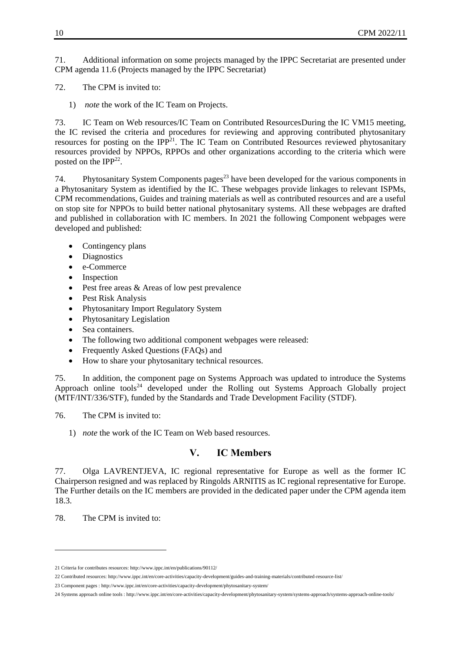71. Additional information on some projects managed by the IPPC Secretariat are presented under CPM agenda 11.6 (Projects managed by the IPPC Secretariat)

72. The CPM is invited to:

1) *note* the work of the IC Team on Projects.

73. IC Team on Web resources/IC Team on Contributed ResourcesDuring the IC VM15 meeting, the IC revised the criteria and procedures for reviewing and approving contributed phytosanitary resources for posting on the IPP $^{21}$ . The IC Team on Contributed Resources reviewed phytosanitary resources provided by NPPOs, RPPOs and other organizations according to the criteria which were posted on the IPP<sup>22</sup>.

74. Phytosanitary System Components pages<sup>23</sup> have been developed for the various components in a Phytosanitary System as identified by the IC. These webpages provide linkages to relevant ISPMs, CPM recommendations, Guides and training materials as well as contributed resources and are a useful on stop site for NPPOs to build better national phytosanitary systems. All these webpages are drafted and published in collaboration with IC members. In 2021 the following Component webpages were developed and published:

- Contingency plans
- Diagnostics
- e-Commerce
- Inspection
- Pest free areas & Areas of low pest prevalence
- Pest Risk Analysis
- Phytosanitary Import Regulatory System
- Phytosanitary Legislation
- Sea containers.
- The following two additional component webpages were released:
- Frequently Asked Questions (FAQs) and
- How to share your phytosanitary technical resources.

75. In addition, the component page on Systems Approach was updated to introduce the Systems Approach online tools<sup>24</sup> developed under the Rolling out Systems Approach Globally project (MTF/INT/336/STF), funded by the Standards and Trade Development Facility (STDF).

76. The CPM is invited to:

1) *note* the work of the IC Team on Web based resources.

## **V. IC Members**

77. Olga LAVRENTJEVA, IC regional representative for Europe as well as the former IC Chairperson resigned and was replaced by Ringolds ARNITIS as IC regional representative for Europe. The Further details on the IC members are provided in the dedicated paper under the CPM agenda item 18.3.

78. The CPM is invited to:

1

<sup>21</sup> Criteria for contributes resources[: http://www.ippc.int/en/publications/90112/](https://www.ippc.int/en/publications/90112/)

<sup>22</sup> Contributed resources[: http://www.ippc.int/en/core-activities/capacity-development/guides-and-training-materials/contributed-resource-list/](https://www.ippc.int/en/core-activities/capacity-development/guides-and-training-materials/contributed-resource-list/)

<sup>23</sup> Component pages [: http://www.ippc.int/en/core-activities/capacity-development/phytosanitary-system/](https://www.ippc.int/en/core-activities/capacity-development/phytosanitary-system/)

<sup>24</sup> Systems approach online tools [: http://www.ippc.int/en/core-activities/capacity-development/phytosanitary-system/systems-approach/systems-approach-online-tools/](https://www.ippc.int/en/core-activities/capacity-development/phytosanitary-system/systems-approach/systems-approach-online-tools/)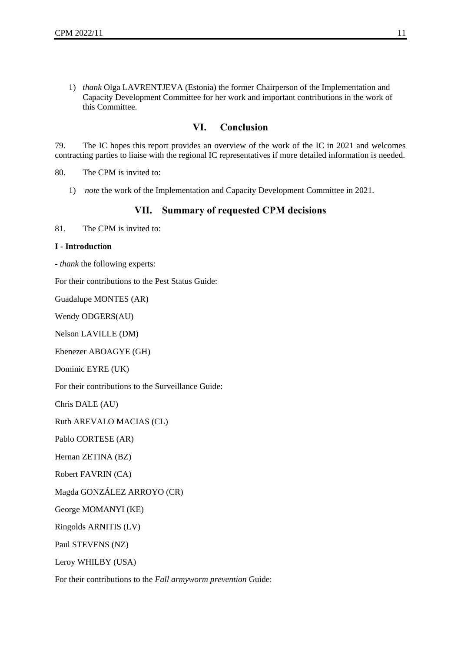1) *thank* Olga LAVRENTJEVA (Estonia) the former Chairperson of the Implementation and Capacity Development Committee for her work and important contributions in the work of this Committee.

## **VI. Conclusion**

79. The IC hopes this report provides an overview of the work of the IC in 2021 and welcomes contracting parties to liaise with the regional IC representatives if more detailed information is needed.

80. The CPM is invited to:

1) *note* the work of the Implementation and Capacity Development Committee in 2021.

#### **VII. Summary of requested CPM decisions**

81 The CPM is invited to:

#### **I - Introduction**

- *thank* the following experts:

For their contributions to the Pest Status Guide:

Guadalupe MONTES (AR)

Wendy ODGERS(AU)

Nelson LAVILLE (DM)

Ebenezer ABOAGYE (GH)

Dominic EYRE (UK)

For their contributions to the Surveillance Guide:

Chris DALE (AU)

Ruth AREVALO MACIAS (CL)

Pablo CORTESE (AR)

Hernan ZETINA (BZ)

Robert FAVRIN (CA)

Magda GONZÁLEZ ARROYO (CR)

George MOMANYI (KE)

Ringolds ARNITIS (LV)

Paul STEVENS (NZ)

Leroy WHILBY (USA)

For their contributions to the *Fall armyworm prevention* Guide: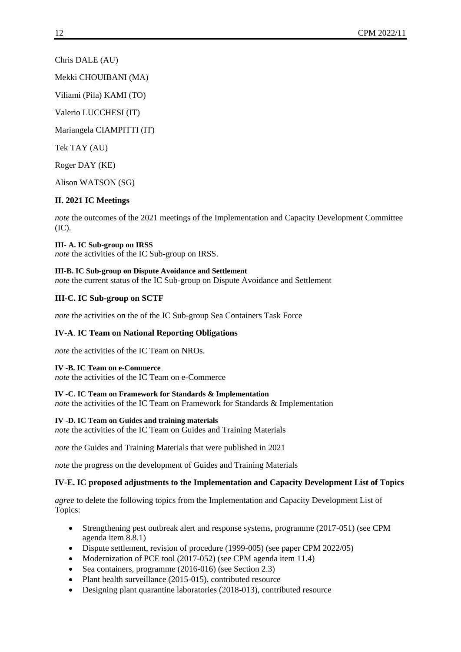Chris DALE (AU)

Mekki CHOUIBANI (MA)

Viliami (Pila) KAMI (TO)

Valerio LUCCHESI (IT)

Mariangela CIAMPITTI (IT)

Tek TAY (AU)

Roger DAY (KE)

Alison WATSON (SG)

## **II. 2021 IC Meetings**

*note* the outcomes of the 2021 meetings of the Implementation and Capacity Development Committee (IC).

**III- A. IC Sub-group on IRSS** *note* the activities of the IC Sub-group on IRSS.

**III-B. IC Sub-group on Dispute Avoidance and Settlement**  *note* the current status of the IC Sub-group on Dispute Avoidance and Settlement

## **III-C. IC Sub-group on SCTF**

*note* the activities on the of the IC Sub-group Sea Containers Task Force

#### **IV-A**. **IC Team on National Reporting Obligations**

*note* the activities of the IC Team on NROs.

#### **IV -B. IC Team on e-Commerce**

*note* the activities of the IC Team on e-Commerce

#### **IV -C. IC Team on Framework for Standards & Implementation**

*note* the activities of the IC Team on Framework for Standards & Implementation

#### **IV -D. IC Team on Guides and training materials**

*note* the activities of the IC Team on Guides and Training Materials

*note* the Guides and Training Materials that were published in 2021

*note* the progress on the development of Guides and Training Materials

#### **IV-E. IC proposed adjustments to the Implementation and Capacity Development List of Topics**

*agree* to delete the following topics from the Implementation and Capacity Development List of Topics:

- Strengthening pest outbreak alert and response systems, programme (2017-051) (see CPM agenda item 8.8.1)
- Dispute settlement, revision of procedure (1999-005) (see paper CPM 2022/05)
- Modernization of PCE tool (2017-052) (see CPM agenda item 11.4)
- Sea containers, programme (2016-016) (see Section 2.3)
- Plant health surveillance (2015-015), contributed resource
- Designing plant quarantine laboratories (2018-013), contributed resource